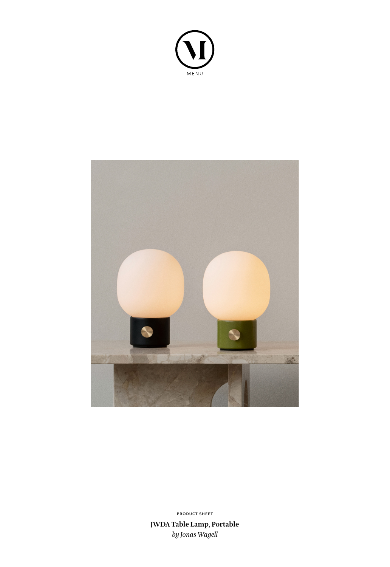



**JWDA Table Lamp, Portable** *by Jonas Wagell* **PRODUCT SHEET**